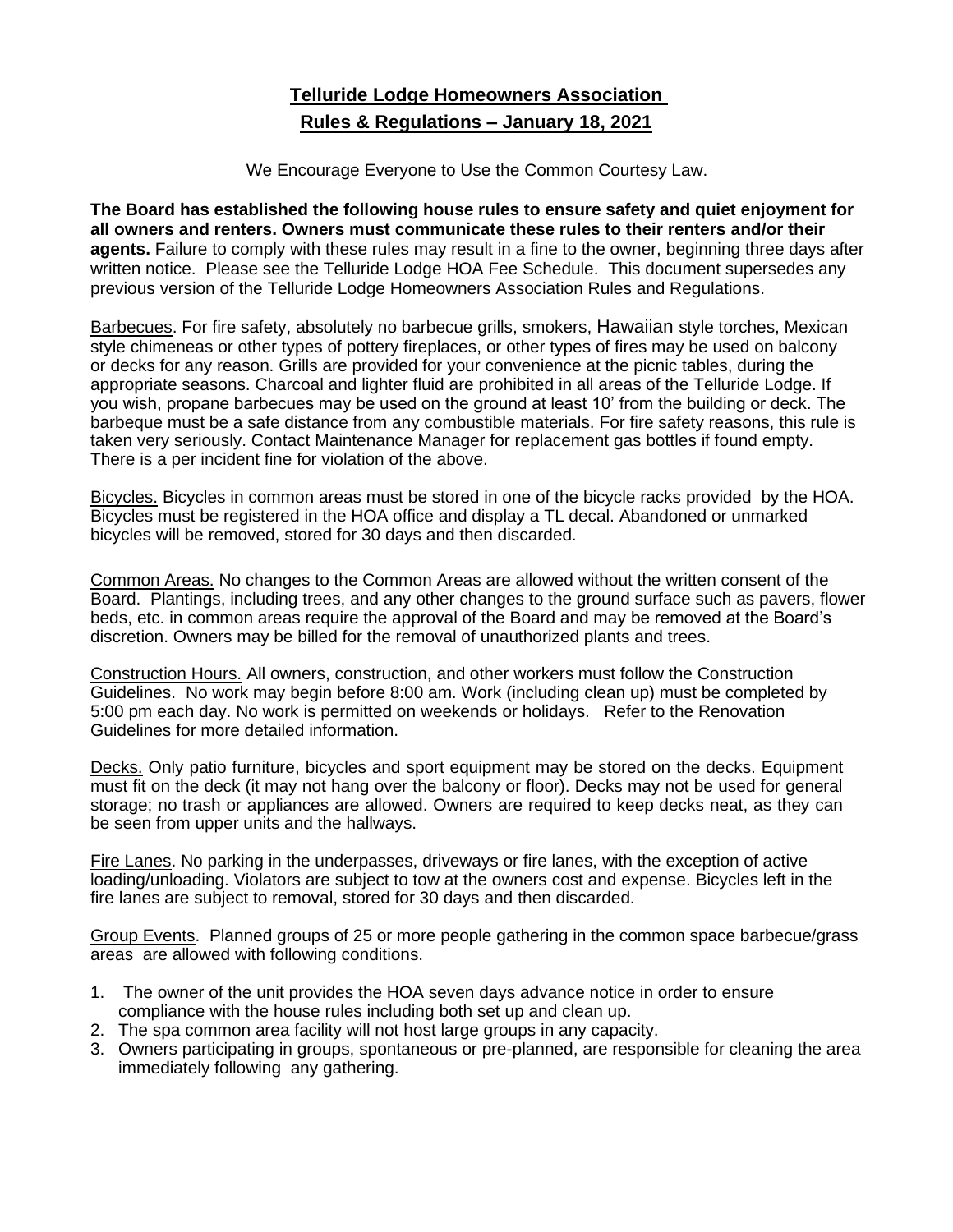# **Telluride Lodge Homeowners Association Rules & Regulations – January 18, 2021**

We Encourage Everyone to Use the Common Courtesy Law.

**The Board has established the following house rules to ensure safety and quiet enjoyment for all owners and renters. Owners must communicate these rules to their renters and/or their agents.** Failure to comply with these rules may result in a fine to the owner, beginning three days after written notice. Please see the Telluride Lodge HOA Fee Schedule. This document supersedes any previous version of the Telluride Lodge Homeowners Association Rules and Regulations.

Barbecues. For fire safety, absolutely no barbecue grills, smokers, Hawaiian style torches, Mexican style chimeneas or other types of pottery fireplaces, or other types of fires may be used on balcony or decks for any reason. Grills are provided for your convenience at the picnic tables, during the appropriate seasons. Charcoal and lighter fluid are prohibited in all areas of the Telluride Lodge. If you wish, propane barbecues may be used on the ground at least 10' from the building or deck. The barbeque must be a safe distance from any combustible materials. For fire safety reasons, this rule is taken very seriously. Contact Maintenance Manager for replacement gas bottles if found empty. There is a per incident fine for violation of the above.

Bicycles. Bicycles in common areas must be stored in one of the bicycle racks provided by the HOA. Bicycles must be registered in the HOA office and display a TL decal. Abandoned or unmarked bicycles will be removed, stored for 30 days and then discarded.

Common Areas. No changes to the Common Areas are allowed without the written consent of the Board. Plantings, including trees, and any other changes to the ground surface such as pavers, flower beds, etc. in common areas require the approval of the Board and may be removed at the Board's discretion. Owners may be billed for the removal of unauthorized plants and trees.

Construction Hours. All owners, construction, and other workers must follow the Construction Guidelines. No work may begin before 8:00 am. Work (including clean up) must be completed by 5:00 pm each day. No work is permitted on weekends or holidays. Refer to the Renovation Guidelines for more detailed information.

Decks. Only patio furniture, bicycles and sport equipment may be stored on the decks. Equipment must fit on the deck (it may not hang over the balcony or floor). Decks may not be used for general storage; no trash or appliances are allowed. Owners are required to keep decks neat, as they can be seen from upper units and the hallways.

Fire Lanes. No parking in the underpasses, driveways or fire lanes, with the exception of active loading/unloading. Violators are subject to tow at the owners cost and expense. Bicycles left in the fire lanes are subject to removal, stored for 30 days and then discarded.

Group Events. Planned groups of 25 or more people gathering in the common space barbecue/grass areas are allowed with following conditions.

- 1. The owner of the unit provides the HOA seven days advance notice in order to ensure compliance with the house rules including both set up and clean up.
- 2. The spa common area facility will not host large groups in any capacity.
- 3. Owners participating in groups, spontaneous or pre-planned, are responsible for cleaning the area immediately following any gathering.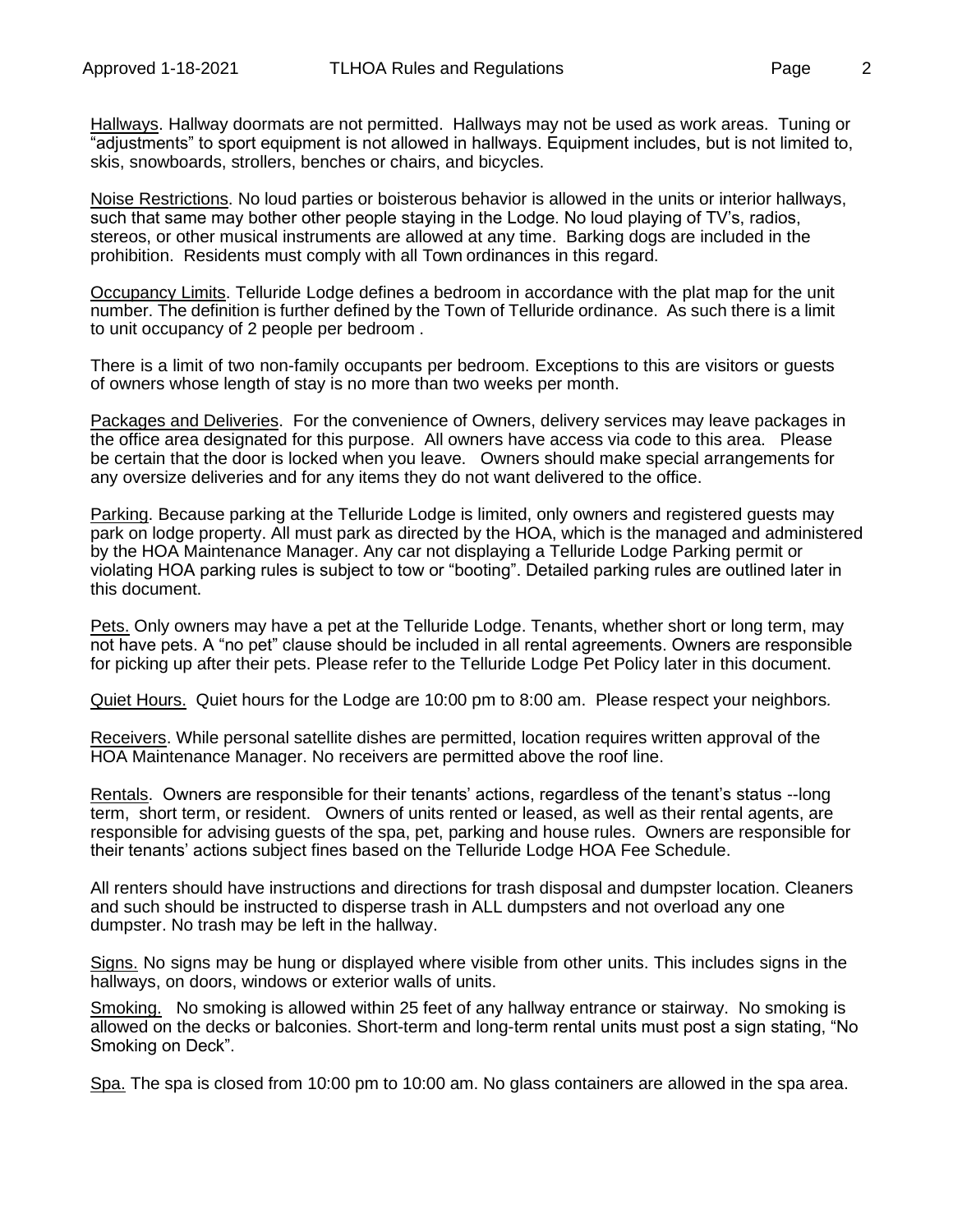Hallways. Hallway doormats are not permitted. Hallways may not be used as work areas. Tuning or "adjustments" to sport equipment is not allowed in hallways. Equipment includes, but is not limited to, skis, snowboards, strollers, benches or chairs, and bicycles.

Noise Restrictions. No loud parties or boisterous behavior is allowed in the units or interior hallways, such that same may bother other people staying in the Lodge. No loud playing of TV's, radios, stereos, or other musical instruments are allowed at any time. Barking dogs are included in the prohibition. Residents must comply with all Town ordinances in this regard.

Occupancy Limits. Telluride Lodge defines a bedroom in accordance with the plat map for the unit number. The definition is further defined by the Town of Telluride ordinance. As such there is a limit to unit occupancy of 2 people per bedroom .

There is a limit of two non-family occupants per bedroom. Exceptions to this are visitors or guests of owners whose length of stay is no more than two weeks per month.

Packages and Deliveries. For the convenience of Owners, delivery services may leave packages in the office area designated for this purpose. All owners have access via code to this area. Please be certain that the door is locked when you leave. Owners should make special arrangements for any oversize deliveries and for any items they do not want delivered to the office.

Parking. Because parking at the Telluride Lodge is limited, only owners and registered guests may park on lodge property. All must park as directed by the HOA, which is the managed and administered by the HOA Maintenance Manager. Any car not displaying a Telluride Lodge Parking permit or violating HOA parking rules is subject to tow or "booting". Detailed parking rules are outlined later in this document.

Pets. Only owners may have a pet at the Telluride Lodge. Tenants, whether short or long term, may not have pets. A "no pet" clause should be included in all rental agreements. Owners are responsible for picking up after their pets. Please refer to the Telluride Lodge Pet Policy later in this document.

Quiet Hours. Quiet hours for the Lodge are 10:00 pm to 8:00 am. Please respect your neighbors*.* 

Receivers. While personal satellite dishes are permitted, location requires written approval of the HOA Maintenance Manager. No receivers are permitted above the roof line.

Rentals. Owners are responsible for their tenants' actions, regardless of the tenant's status --long term, short term, or resident. Owners of units rented or leased, as well as their rental agents, are responsible for advising guests of the spa, pet, parking and house rules. Owners are responsible for their tenants' actions subject fines based on the Telluride Lodge HOA Fee Schedule.

All renters should have instructions and directions for trash disposal and dumpster location. Cleaners and such should be instructed to disperse trash in ALL dumpsters and not overload any one dumpster. No trash may be left in the hallway.

Signs. No signs may be hung or displayed where visible from other units. This includes signs in the hallways, on doors, windows or exterior walls of units.

Smoking. No smoking is allowed within 25 feet of any hallway entrance or stairway. No smoking is allowed on the decks or balconies. Short-term and long-term rental units must post a sign stating, "No Smoking on Deck".

Spa. The spa is closed from 10:00 pm to 10:00 am. No glass containers are allowed in the spa area.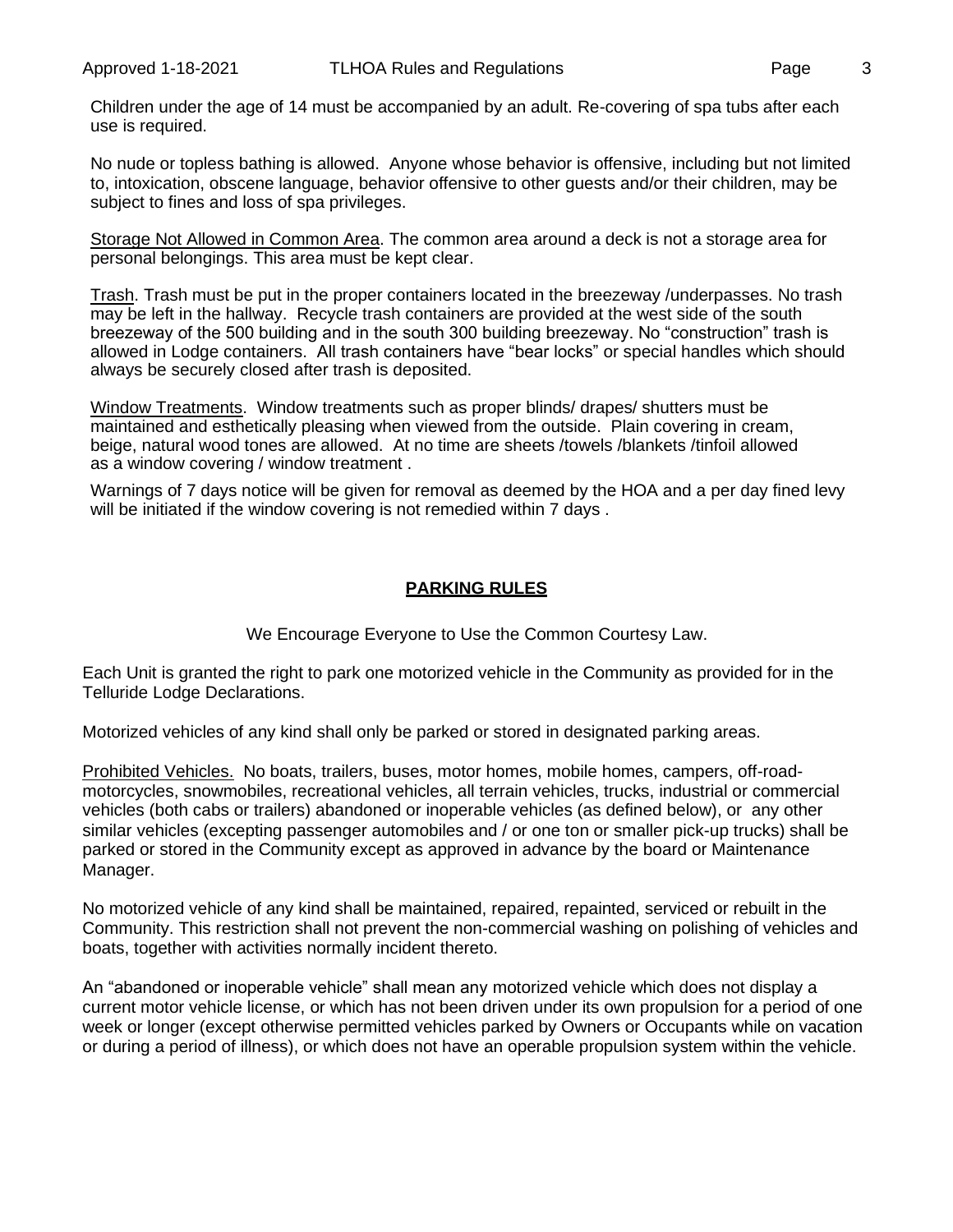Children under the age of 14 must be accompanied by an adult. Re-covering of spa tubs after each use is required.

No nude or topless bathing is allowed. Anyone whose behavior is offensive, including but not limited to, intoxication, obscene language, behavior offensive to other guests and/or their children, may be subject to fines and loss of spa privileges.

Storage Not Allowed in Common Area. The common area around a deck is not a storage area for personal belongings. This area must be kept clear.

Trash. Trash must be put in the proper containers located in the breezeway /underpasses. No trash may be left in the hallway. Recycle trash containers are provided at the west side of the south breezeway of the 500 building and in the south 300 building breezeway. No "construction" trash is allowed in Lodge containers. All trash containers have "bear locks" or special handles which should always be securely closed after trash is deposited.

Window Treatments. Window treatments such as proper blinds/ drapes/ shutters must be maintained and esthetically pleasing when viewed from the outside. Plain covering in cream, beige, natural wood tones are allowed. At no time are sheets /towels /blankets /tinfoil allowed as a window covering / window treatment .

Warnings of 7 days notice will be given for removal as deemed by the HOA and a per day fined levy will be initiated if the window covering is not remedied within 7 days .

### **PARKING RULES**

We Encourage Everyone to Use the Common Courtesy Law.

Each Unit is granted the right to park one motorized vehicle in the Community as provided for in the Telluride Lodge Declarations.

Motorized vehicles of any kind shall only be parked or stored in designated parking areas.

Prohibited Vehicles. No boats, trailers, buses, motor homes, mobile homes, campers, off-roadmotorcycles, snowmobiles, recreational vehicles, all terrain vehicles, trucks, industrial or commercial vehicles (both cabs or trailers) abandoned or inoperable vehicles (as defined below), or any other similar vehicles (excepting passenger automobiles and / or one ton or smaller pick-up trucks) shall be parked or stored in the Community except as approved in advance by the board or Maintenance Manager.

No motorized vehicle of any kind shall be maintained, repaired, repainted, serviced or rebuilt in the Community. This restriction shall not prevent the non-commercial washing on polishing of vehicles and boats, together with activities normally incident thereto.

An "abandoned or inoperable vehicle" shall mean any motorized vehicle which does not display a current motor vehicle license, or which has not been driven under its own propulsion for a period of one week or longer (except otherwise permitted vehicles parked by Owners or Occupants while on vacation or during a period of illness), or which does not have an operable propulsion system within the vehicle.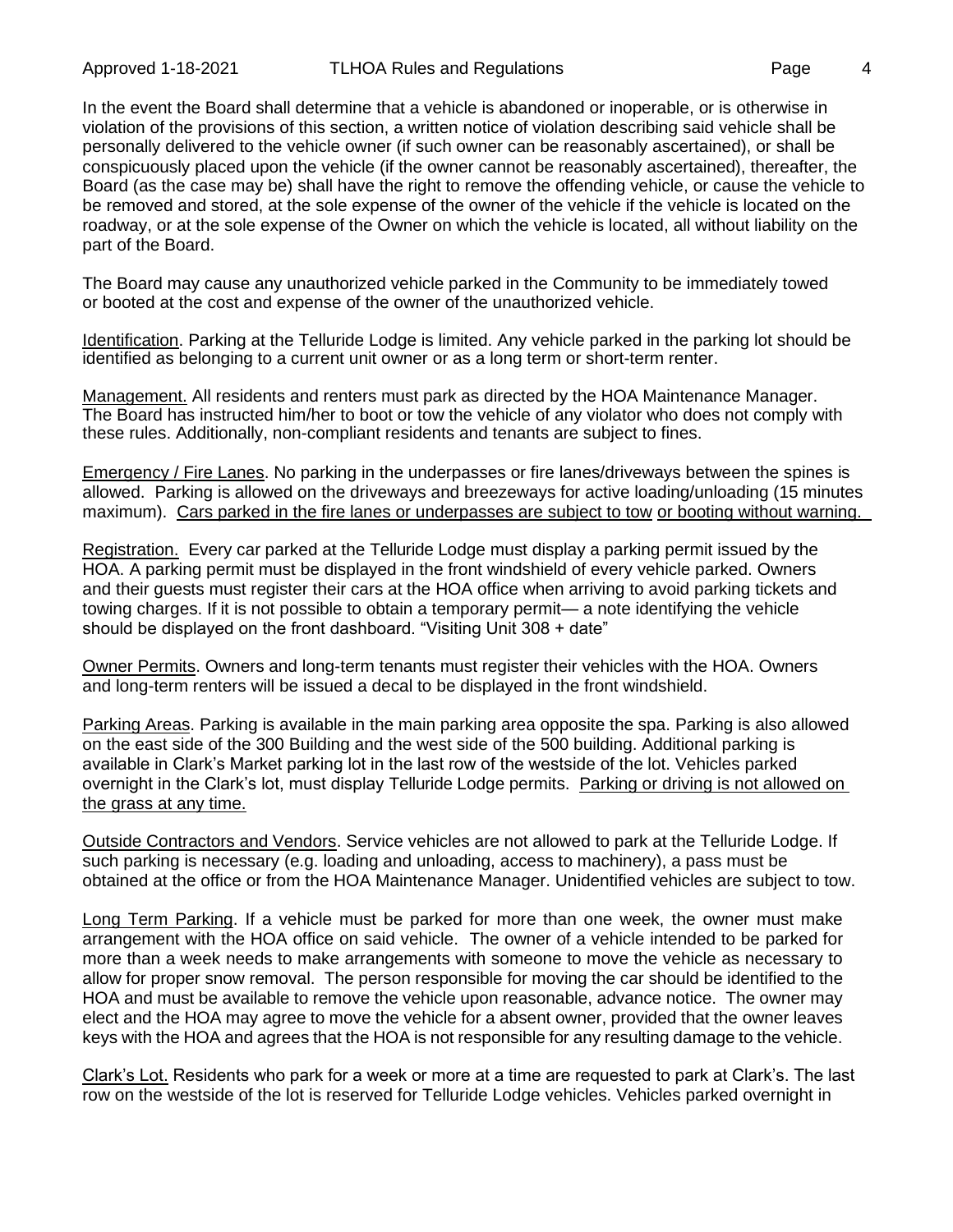In the event the Board shall determine that a vehicle is abandoned or inoperable, or is otherwise in violation of the provisions of this section, a written notice of violation describing said vehicle shall be personally delivered to the vehicle owner (if such owner can be reasonably ascertained), or shall be conspicuously placed upon the vehicle (if the owner cannot be reasonably ascertained), thereafter, the Board (as the case may be) shall have the right to remove the offending vehicle, or cause the vehicle to be removed and stored, at the sole expense of the owner of the vehicle if the vehicle is located on the roadway, or at the sole expense of the Owner on which the vehicle is located, all without liability on the part of the Board.

The Board may cause any unauthorized vehicle parked in the Community to be immediately towed or booted at the cost and expense of the owner of the unauthorized vehicle.

Identification. Parking at the Telluride Lodge is limited. Any vehicle parked in the parking lot should be identified as belonging to a current unit owner or as a long term or short-term renter.

Management. All residents and renters must park as directed by the HOA Maintenance Manager. The Board has instructed him/her to boot or tow the vehicle of any violator who does not comply with these rules. Additionally, non-compliant residents and tenants are subject to fines.

Emergency / Fire Lanes. No parking in the underpasses or fire lanes/driveways between the spines is allowed. Parking is allowed on the driveways and breezeways for active loading/unloading (15 minutes maximum). Cars parked in the fire lanes or underpasses are subject to tow or booting without warning.

Registration. Every car parked at the Telluride Lodge must display a parking permit issued by the HOA. A parking permit must be displayed in the front windshield of every vehicle parked. Owners and their guests must register their cars at the HOA office when arriving to avoid parking tickets and towing charges. If it is not possible to obtain a temporary permit— a note identifying the vehicle should be displayed on the front dashboard. "Visiting Unit 308 + date"

Owner Permits. Owners and long-term tenants must register their vehicles with the HOA. Owners and long-term renters will be issued a decal to be displayed in the front windshield.

Parking Areas. Parking is available in the main parking area opposite the spa. Parking is also allowed on the east side of the 300 Building and the west side of the 500 building. Additional parking is available in Clark's Market parking lot in the last row of the westside of the lot. Vehicles parked overnight in the Clark's lot, must display Telluride Lodge permits. Parking or driving is not allowed on the grass at any time.

Outside Contractors and Vendors. Service vehicles are not allowed to park at the Telluride Lodge. If such parking is necessary (e.g. loading and unloading, access to machinery), a pass must be obtained at the office or from the HOA Maintenance Manager. Unidentified vehicles are subject to tow.

Long Term Parking. If a vehicle must be parked for more than one week, the owner must make arrangement with the HOA office on said vehicle. The owner of a vehicle intended to be parked for more than a week needs to make arrangements with someone to move the vehicle as necessary to allow for proper snow removal. The person responsible for moving the car should be identified to the HOA and must be available to remove the vehicle upon reasonable, advance notice. The owner may elect and the HOA may agree to move the vehicle for a absent owner, provided that the owner leaves keys with the HOA and agrees that the HOA is not responsible for any resulting damage to the vehicle.

Clark's Lot. Residents who park for a week or more at a time are requested to park at Clark's. The last row on the westside of the lot is reserved for Telluride Lodge vehicles. Vehicles parked overnight in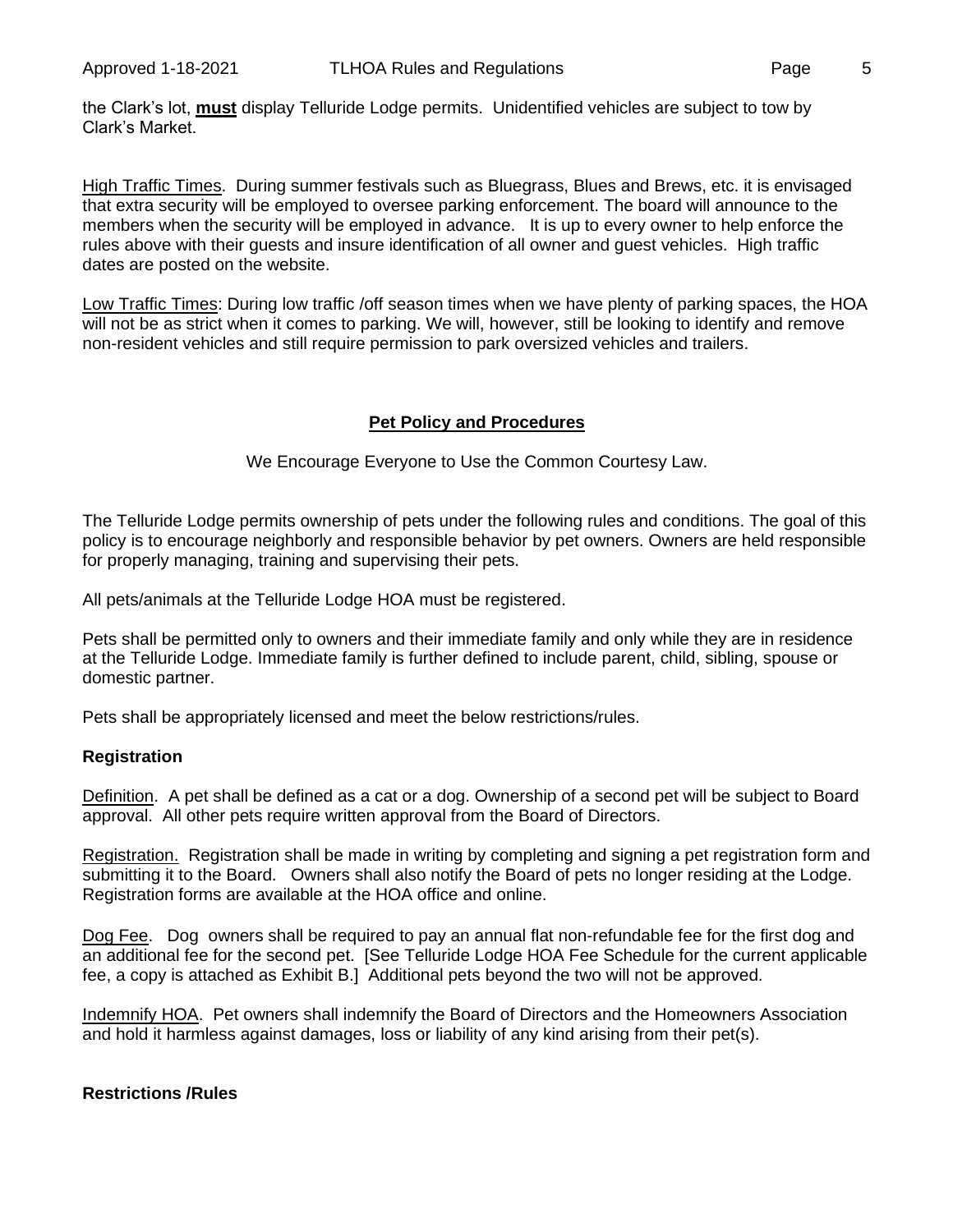the Clark's lot, **must** display Telluride Lodge permits. Unidentified vehicles are subject to tow by Clark's Market.

High Traffic Times. During summer festivals such as Bluegrass, Blues and Brews, etc. it is envisaged that extra security will be employed to oversee parking enforcement. The board will announce to the members when the security will be employed in advance. It is up to every owner to help enforce the rules above with their guests and insure identification of all owner and guest vehicles. High traffic dates are posted on the website.

Low Traffic Times: During low traffic /off season times when we have plenty of parking spaces, the HOA will not be as strict when it comes to parking. We will, however, still be looking to identify and remove non-resident vehicles and still require permission to park oversized vehicles and trailers.

## **Pet Policy and Procedures**

We Encourage Everyone to Use the Common Courtesy Law.

The Telluride Lodge permits ownership of pets under the following rules and conditions. The goal of this policy is to encourage neighborly and responsible behavior by pet owners. Owners are held responsible for properly managing, training and supervising their pets.

All pets/animals at the Telluride Lodge HOA must be registered.

Pets shall be permitted only to owners and their immediate family and only while they are in residence at the Telluride Lodge. Immediate family is further defined to include parent, child, sibling, spouse or domestic partner.

Pets shall be appropriately licensed and meet the below restrictions/rules.

### **Registration**

Definition. A pet shall be defined as a cat or a dog. Ownership of a second pet will be subject to Board approval. All other pets require written approval from the Board of Directors.

Registration. Registration shall be made in writing by completing and signing a pet registration form and submitting it to the Board. Owners shall also notify the Board of pets no longer residing at the Lodge. Registration forms are available at the HOA office and online.

Dog Fee. Dog owners shall be required to pay an annual flat non-refundable fee for the first dog and an additional fee for the second pet. [See Telluride Lodge HOA Fee Schedule for the current applicable fee, a copy is attached as Exhibit B.] Additional pets beyond the two will not be approved.

Indemnify HOA. Pet owners shall indemnify the Board of Directors and the Homeowners Association and hold it harmless against damages, loss or liability of any kind arising from their pet(s).

### **Restrictions /Rules**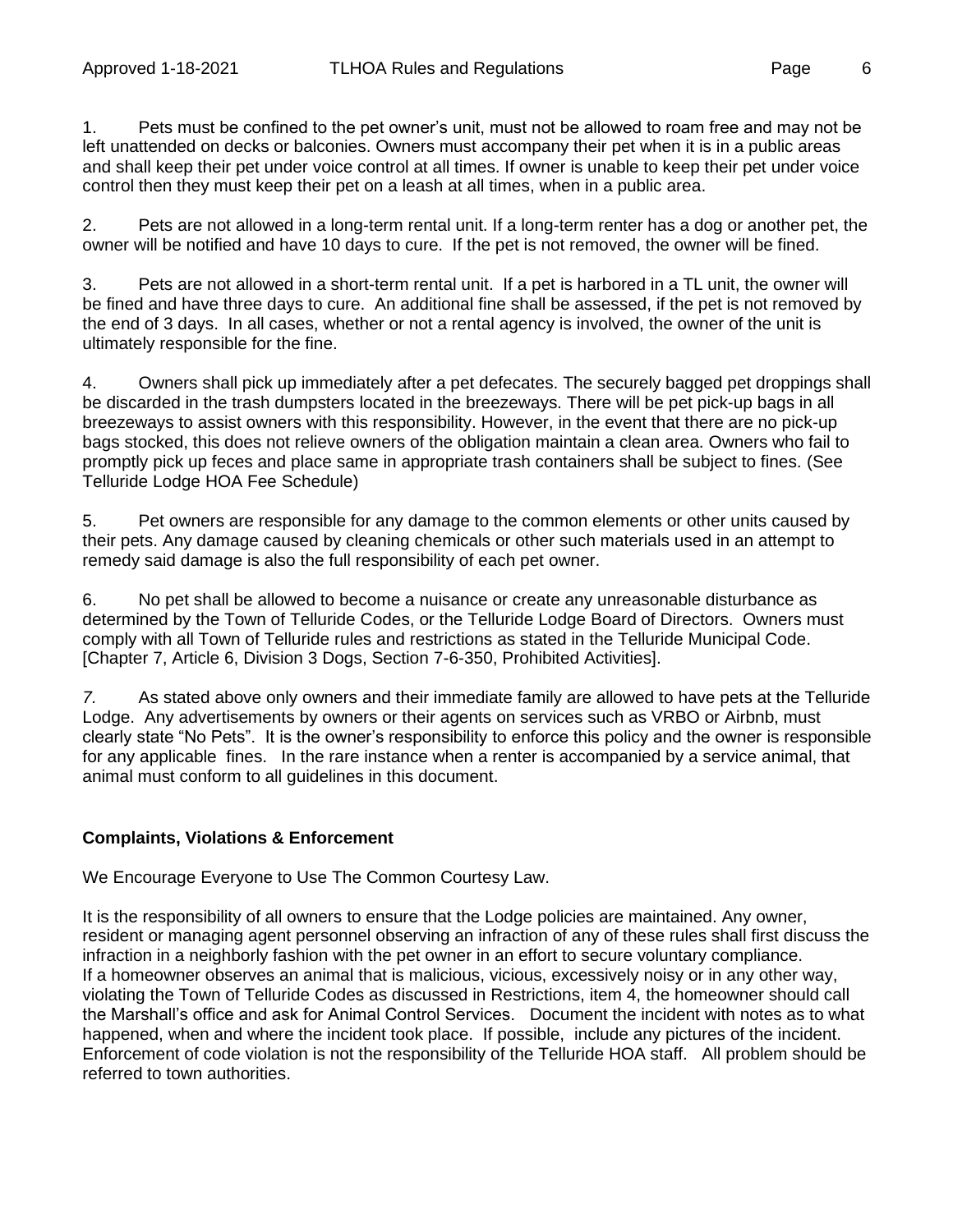1. Pets must be confined to the pet owner's unit, must not be allowed to roam free and may not be left unattended on decks or balconies. Owners must accompany their pet when it is in a public areas and shall keep their pet under voice control at all times. If owner is unable to keep their pet under voice control then they must keep their pet on a leash at all times, when in a public area.

2. Pets are not allowed in a long-term rental unit. If a long-term renter has a dog or another pet, the owner will be notified and have 10 days to cure. If the pet is not removed, the owner will be fined.

3. Pets are not allowed in a short-term rental unit. If a pet is harbored in a TL unit, the owner will be fined and have three days to cure. An additional fine shall be assessed, if the pet is not removed by the end of 3 days. In all cases, whether or not a rental agency is involved, the owner of the unit is ultimately responsible for the fine.

4. Owners shall pick up immediately after a pet defecates. The securely bagged pet droppings shall be discarded in the trash dumpsters located in the breezeways. There will be pet pick-up bags in all breezeways to assist owners with this responsibility. However, in the event that there are no pick-up bags stocked, this does not relieve owners of the obligation maintain a clean area. Owners who fail to promptly pick up feces and place same in appropriate trash containers shall be subject to fines. (See Telluride Lodge HOA Fee Schedule)

5. Pet owners are responsible for any damage to the common elements or other units caused by their pets. Any damage caused by cleaning chemicals or other such materials used in an attempt to remedy said damage is also the full responsibility of each pet owner.

6. No pet shall be allowed to become a nuisance or create any unreasonable disturbance as determined by the Town of Telluride Codes, or the Telluride Lodge Board of Directors. Owners must comply with all Town of Telluride rules and restrictions as stated in the Telluride Municipal Code. [Chapter 7, Article 6, Division 3 Dogs, Section 7-6-350, Prohibited Activities].

*7.* As stated above only owners and their immediate family are allowed to have pets at the Telluride Lodge. Any advertisements by owners or their agents on services such as VRBO or Airbnb, must clearly state "No Pets". It is the owner's responsibility to enforce this policy and the owner is responsible for any applicable fines. In the rare instance when a renter is accompanied by a service animal, that animal must conform to all guidelines in this document.

### **Complaints, Violations & Enforcement**

We Encourage Everyone to Use The Common Courtesy Law.

It is the responsibility of all owners to ensure that the Lodge policies are maintained. Any owner, resident or managing agent personnel observing an infraction of any of these rules shall first discuss the infraction in a neighborly fashion with the pet owner in an effort to secure voluntary compliance. If a homeowner observes an animal that is malicious, vicious, excessively noisy or in any other way, violating the Town of Telluride Codes as discussed in Restrictions, item 4, the homeowner should call the Marshall's office and ask for Animal Control Services. Document the incident with notes as to what happened, when and where the incident took place. If possible, include any pictures of the incident. Enforcement of code violation is not the responsibility of the Telluride HOA staff. All problem should be referred to town authorities.